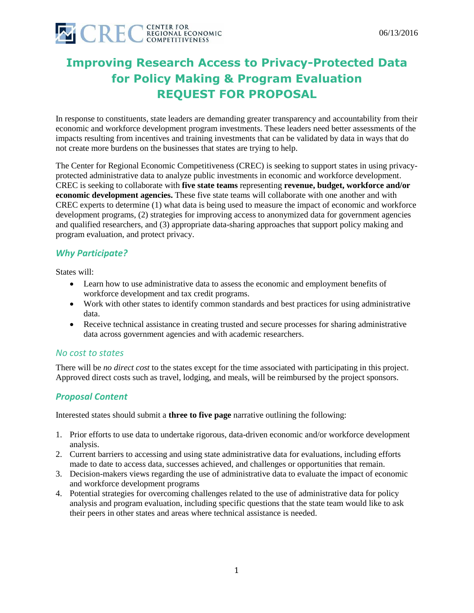

# **Improving Research Access to Privacy-Protected Data for Policy Making & Program Evaluation REQUEST FOR PROPOSAL**

In response to constituents, state leaders are demanding greater transparency and accountability from their economic and workforce development program investments. These leaders need better assessments of the impacts resulting from incentives and training investments that can be validated by data in ways that do not create more burdens on the businesses that states are trying to help.

The Center for Regional Economic Competitiveness (CREC) is seeking to support states in using privacyprotected administrative data to analyze public investments in economic and workforce development. CREC is seeking to collaborate with **five state teams** representing **revenue, budget, workforce and/or economic development agencies.** These five state teams will collaborate with one another and with CREC experts to determine (1) what data is being used to measure the impact of economic and workforce development programs, (2) strategies for improving access to anonymized data for government agencies and qualified researchers, and (3) appropriate data-sharing approaches that support policy making and program evaluation, and protect privacy.

# *Why Participate?*

States will:

- Learn how to use administrative data to assess the economic and employment benefits of workforce development and tax credit programs.
- Work with other states to identify common standards and best practices for using administrative data.
- Receive technical assistance in creating trusted and secure processes for sharing administrative data across government agencies and with academic researchers.

### *No cost to states*

There will be *no direct cost* to the states except for the time associated with participating in this project. Approved direct costs such as travel, lodging, and meals, will be reimbursed by the project sponsors.

### *Proposal Content*

Interested states should submit a **three to five page** narrative outlining the following:

- 1. Prior efforts to use data to undertake rigorous, data-driven economic and/or workforce development analysis.
- 2. Current barriers to accessing and using state administrative data for evaluations, including efforts made to date to access data, successes achieved, and challenges or opportunities that remain.
- 3. Decision-makers views regarding the use of administrative data to evaluate the impact of economic and workforce development programs
- 4. Potential strategies for overcoming challenges related to the use of administrative data for policy analysis and program evaluation, including specific questions that the state team would like to ask their peers in other states and areas where technical assistance is needed.